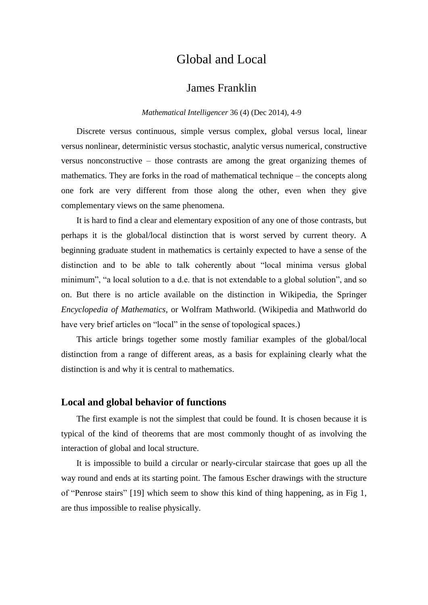# Global and Local

# James Franklin

#### *Mathematical Intelligencer* 36 (4) (Dec 2014), 4-9

Discrete versus continuous, simple versus complex, global versus local, linear versus nonlinear, deterministic versus stochastic, analytic versus numerical, constructive versus nonconstructive – those contrasts are among the great organizing themes of mathematics. They are forks in the road of mathematical technique – the concepts along one fork are very different from those along the other, even when they give complementary views on the same phenomena.

It is hard to find a clear and elementary exposition of any one of those contrasts, but perhaps it is the global/local distinction that is worst served by current theory. A beginning graduate student in mathematics is certainly expected to have a sense of the distinction and to be able to talk coherently about "local minima versus global minimum", "a local solution to a d.e. that is not extendable to a global solution", and so on. But there is no article available on the distinction in Wikipedia, the Springer *Encyclopedia of Mathematics*, or Wolfram Mathworld. (Wikipedia and Mathworld do have very brief articles on "local" in the sense of topological spaces.)

This article brings together some mostly familiar examples of the global/local distinction from a range of different areas, as a basis for explaining clearly what the distinction is and why it is central to mathematics.

### **Local and global behavior of functions**

The first example is not the simplest that could be found. It is chosen because it is typical of the kind of theorems that are most commonly thought of as involving the interaction of global and local structure.

It is impossible to build a circular or nearly-circular staircase that goes up all the way round and ends at its starting point. The famous Escher drawings with the structure of "Penrose stairs" [19] which seem to show this kind of thing happening, as in Fig 1, are thus impossible to realise physically.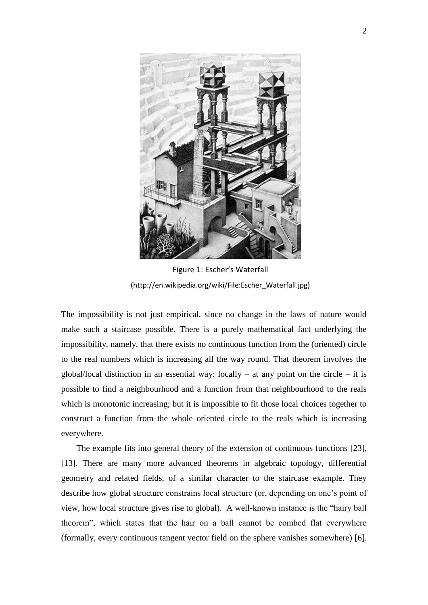

Figure 1: Escher's Waterfall (http://en.wikipedia.org/wiki/File:Escher\_Waterfall.jpg)

The impossibility is not just empirical, since no change in the laws of nature would make such a staircase possible. There is a purely mathematical fact underlying the impossibility, namely, that there exists no continuous function from the (oriented) circle to the real numbers which is increasing all the way round. That theorem involves the global/local distinction in an essential way: locally – at any point on the circle – it is possible to find a neighbourhood and a function from that neighbourhood to the reals which is monotonic increasing; but it is impossible to fit those local choices together to construct a function from the whole oriented circle to the reals which is increasing everywhere.

The example fits into general theory of the extension of continuous functions [23], [13]. There are many more advanced theorems in algebraic topology, differential geometry and related fields, of a similar character to the staircase example. They describe how global structure constrains local structure (or, depending on one's point of view, how local structure gives rise to global). A well-known instance is the "hairy ball theorem", which states that the hair on a ball cannot be combed flat everywhere (formally, every continuous tangent vector field on the sphere vanishes somewhere) [6].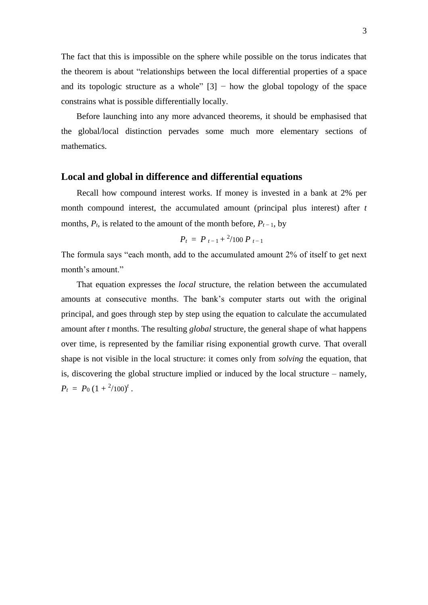The fact that this is impossible on the sphere while possible on the torus indicates that the theorem is about "relationships between the local differential properties of a space and its topologic structure as a whole"  $[3]$  – how the global topology of the space constrains what is possible differentially locally.

Before launching into any more advanced theorems, it should be emphasised that the global/local distinction pervades some much more elementary sections of mathematics.

# **Local and global in difference and differential equations**

Recall how compound interest works. If money is invested in a bank at 2% per month compound interest, the accumulated amount (principal plus interest) after *t* months,  $P_t$ , is related to the amount of the month before,  $P_{t-1}$ , by

$$
P_t = P_{t-1} + \frac{2}{100} P_{t-1}
$$

The formula says "each month, add to the accumulated amount 2% of itself to get next month's amount."

That equation expresses the *local* structure, the relation between the accumulated amounts at consecutive months. The bank's computer starts out with the original principal, and goes through step by step using the equation to calculate the accumulated amount after *t* months. The resulting *global* structure, the general shape of what happens over time, is represented by the familiar rising exponential growth curve. That overall shape is not visible in the local structure: it comes only from *solving* the equation, that is, discovering the global structure implied or induced by the local structure – namely,  $P_t = P_0 (1 + \frac{2}{100})^t$ .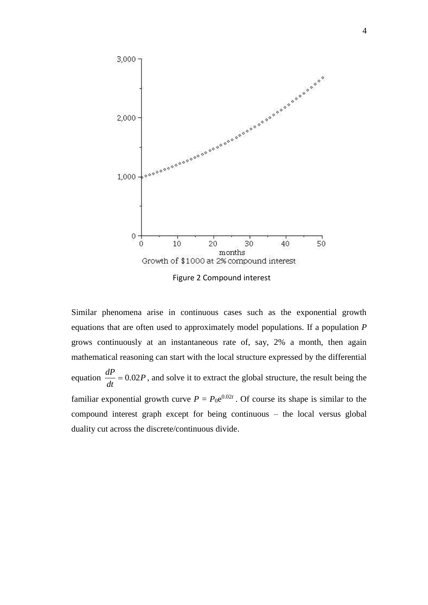

Figure 2 Compound interest

Similar phenomena arise in continuous cases such as the exponential growth equations that are often used to approximately model populations. If a population *P* grows continuously at an instantaneous rate of, say, 2% a month, then again mathematical reasoning can start with the local structure expressed by the differential equation  $\frac{dP}{dx} = 0.02P$ *dt*  $\frac{dP}{dt} = 0.02P$ , and solve it to extract the global structure, the result being the familiar exponential growth curve  $P = P_0 e^{0.02t}$ . Of course its shape is similar to the compound interest graph except for being continuous – the local versus global duality cut across the discrete/continuous divide.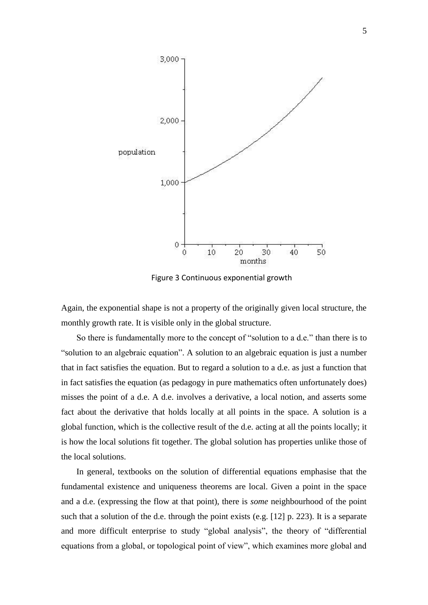

Figure 3 Continuous exponential growth

Again, the exponential shape is not a property of the originally given local structure, the monthly growth rate. It is visible only in the global structure.

So there is fundamentally more to the concept of "solution to a d.e." than there is to "solution to an algebraic equation". A solution to an algebraic equation is just a number that in fact satisfies the equation. But to regard a solution to a d.e. as just a function that in fact satisfies the equation (as pedagogy in pure mathematics often unfortunately does) misses the point of a d.e. A d.e. involves a derivative, a local notion, and asserts some fact about the derivative that holds locally at all points in the space. A solution is a global function, which is the collective result of the d.e. acting at all the points locally; it is how the local solutions fit together. The global solution has properties unlike those of the local solutions.

In general, textbooks on the solution of differential equations emphasise that the fundamental existence and uniqueness theorems are local. Given a point in the space and a d.e. (expressing the flow at that point), there is *some* neighbourhood of the point such that a solution of the d.e. through the point exists (e.g. [12] p. 223). It is a separate and more difficult enterprise to study "global analysis", the theory of "differential equations from a global, or topological point of view", which examines more global and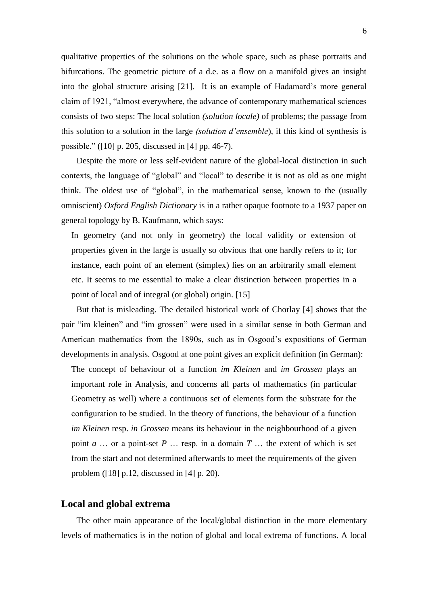qualitative properties of the solutions on the whole space, such as phase portraits and bifurcations. The geometric picture of a d.e. as a flow on a manifold gives an insight into the global structure arising [21]. It is an example of Hadamard's more general claim of 1921, "almost everywhere, the advance of contemporary mathematical sciences consists of two steps: The local solution *(solution locale)* of problems; the passage from this solution to a solution in the large *(solution d'ensemble*), if this kind of synthesis is possible." ([10] p. 205, discussed in [4] pp. 46-7).

Despite the more or less self-evident nature of the global-local distinction in such contexts, the language of "global" and "local" to describe it is not as old as one might think. The oldest use of "global", in the mathematical sense, known to the (usually omniscient) *Oxford English Dictionary* is in a rather opaque footnote to a 1937 paper on general topology by B. Kaufmann, which says:

In geometry (and not only in geometry) the local validity or extension of properties given in the large is usually so obvious that one hardly refers to it; for instance, each point of an element (simplex) lies on an arbitrarily small element etc. It seems to me essential to make a clear distinction between properties in a point of local and of integral (or global) origin. [15]

But that is misleading. The detailed historical work of Chorlay [4] shows that the pair "im kleinen" and "im grossen" were used in a similar sense in both German and American mathematics from the 1890s, such as in Osgood's expositions of German developments in analysis. Osgood at one point gives an explicit definition (in German):

The concept of behaviour of a function *im Kleinen* and *im Grossen* plays an important role in Analysis, and concerns all parts of mathematics (in particular Geometry as well) where a continuous set of elements form the substrate for the configuration to be studied. In the theory of functions, the behaviour of a function *im Kleinen* resp. *in Grossen* means its behaviour in the neighbourhood of a given point  $a \dots$  or a point-set  $P \dots$  resp. in a domain  $T \dots$  the extent of which is set from the start and not determined afterwards to meet the requirements of the given problem ([18] p.12, discussed in [4] p. 20).

#### **Local and global extrema**

The other main appearance of the local/global distinction in the more elementary levels of mathematics is in the notion of global and local extrema of functions. A local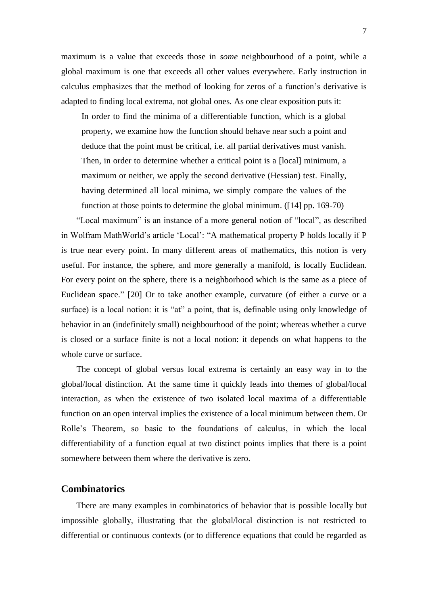maximum is a value that exceeds those in *some* neighbourhood of a point, while a global maximum is one that exceeds all other values everywhere. Early instruction in calculus emphasizes that the method of looking for zeros of a function's derivative is adapted to finding local extrema, not global ones. As one clear exposition puts it:

In order to find the minima of a differentiable function, which is a global property, we examine how the function should behave near such a point and deduce that the point must be critical, i.e. all partial derivatives must vanish. Then, in order to determine whether a critical point is a [local] minimum, a maximum or neither, we apply the second derivative (Hessian) test. Finally, having determined all local minima, we simply compare the values of the function at those points to determine the global minimum. ([14] pp. 169-70)

"Local maximum" is an instance of a more general notion of "local", as described in Wolfram MathWorld's article 'Local': "A mathematical property P holds locally if P is true near every point. In many different areas of mathematics, this notion is very useful. For instance, the sphere, and more generally a manifold, is locally Euclidean. For every point on the sphere, there is a neighborhood which is the same as a piece of Euclidean space." [20] Or to take another example, curvature (of either a curve or a surface) is a local notion: it is "at" a point, that is, definable using only knowledge of behavior in an (indefinitely small) neighbourhood of the point; whereas whether a curve is closed or a surface finite is not a local notion: it depends on what happens to the whole curve or surface.

The concept of global versus local extrema is certainly an easy way in to the global/local distinction. At the same time it quickly leads into themes of global/local interaction, as when the existence of two isolated local maxima of a differentiable function on an open interval implies the existence of a local minimum between them. Or Rolle's Theorem, so basic to the foundations of calculus, in which the local differentiability of a function equal at two distinct points implies that there is a point somewhere between them where the derivative is zero.

# **Combinatorics**

There are many examples in combinatorics of behavior that is possible locally but impossible globally, illustrating that the global/local distinction is not restricted to differential or continuous contexts (or to difference equations that could be regarded as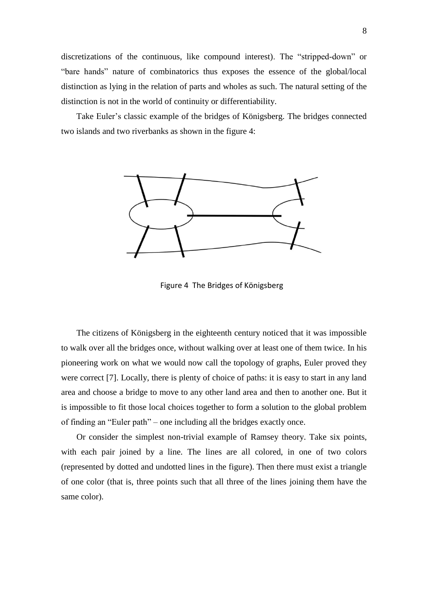discretizations of the continuous, like compound interest). The "stripped-down" or "bare hands" nature of combinatorics thus exposes the essence of the global/local distinction as lying in the relation of parts and wholes as such. The natural setting of the distinction is not in the world of continuity or differentiability.

Take Euler's classic example of the bridges of Königsberg. The bridges connected two islands and two riverbanks as shown in the figure 4:



Figure 4 The Bridges of Königsberg

The citizens of Königsberg in the eighteenth century noticed that it was impossible to walk over all the bridges once, without walking over at least one of them twice. In his pioneering work on what we would now call the topology of graphs, Euler proved they were correct [7]. Locally, there is plenty of choice of paths: it is easy to start in any land area and choose a bridge to move to any other land area and then to another one. But it is impossible to fit those local choices together to form a solution to the global problem of finding an "Euler path" – one including all the bridges exactly once.

Or consider the simplest non-trivial example of Ramsey theory. Take six points, with each pair joined by a line. The lines are all colored, in one of two colors (represented by dotted and undotted lines in the figure). Then there must exist a triangle of one color (that is, three points such that all three of the lines joining them have the same color).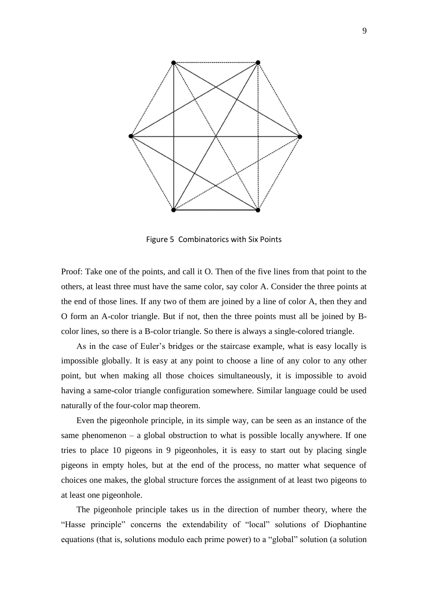

Figure 5 Combinatorics with Six Points

Proof: Take one of the points, and call it O. Then of the five lines from that point to the others, at least three must have the same color, say color A. Consider the three points at the end of those lines. If any two of them are joined by a line of color A, then they and O form an A-color triangle. But if not, then the three points must all be joined by Bcolor lines, so there is a B-color triangle. So there is always a single-colored triangle.

As in the case of Euler's bridges or the staircase example, what is easy locally is impossible globally. It is easy at any point to choose a line of any color to any other point, but when making all those choices simultaneously, it is impossible to avoid having a same-color triangle configuration somewhere. Similar language could be used naturally of the four-color map theorem.

Even the pigeonhole principle, in its simple way, can be seen as an instance of the same phenomenon  $-$  a global obstruction to what is possible locally anywhere. If one tries to place 10 pigeons in 9 pigeonholes, it is easy to start out by placing single pigeons in empty holes, but at the end of the process, no matter what sequence of choices one makes, the global structure forces the assignment of at least two pigeons to at least one pigeonhole.

The pigeonhole principle takes us in the direction of number theory, where the "Hasse principle" concerns the extendability of "local" solutions of Diophantine equations (that is, solutions modulo each prime power) to a "global" solution (a solution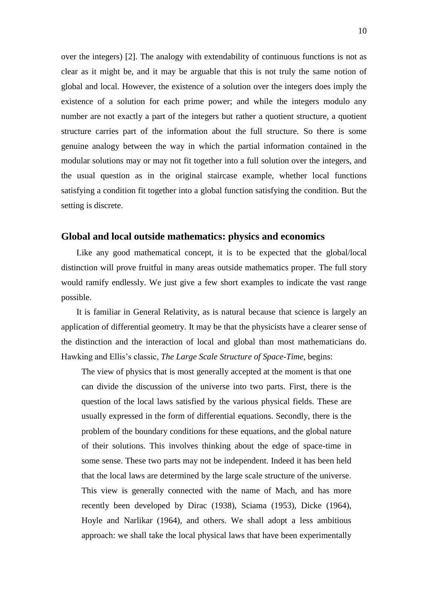over the integers) [2]. The analogy with extendability of continuous functions is not as clear as it might be, and it may be arguable that this is not truly the same notion of global and local. However, the existence of a solution over the integers does imply the existence of a solution for each prime power; and while the integers modulo any number are not exactly a part of the integers but rather a quotient structure, a quotient structure carries part of the information about the full structure. So there is some genuine analogy between the way in which the partial information contained in the modular solutions may or may not fit together into a full solution over the integers, and the usual question as in the original staircase example, whether local functions satisfying a condition fit together into a global function satisfying the condition. But the setting is discrete.

# **Global and local outside mathematics: physics and economics**

Like any good mathematical concept, it is to be expected that the global/local distinction will prove fruitful in many areas outside mathematics proper. The full story would ramify endlessly. We just give a few short examples to indicate the vast range possible.

It is familiar in General Relativity, as is natural because that science is largely an application of differential geometry. It may be that the physicists have a clearer sense of the distinction and the interaction of local and global than most mathematicians do. Hawking and Ellis's classic, *The Large Scale Structure of Space-Time*, begins:

The view of physics that is most generally accepted at the moment is that one can divide the discussion of the universe into two parts. First, there is the question of the local laws satisfied by the various physical fields. These are usually expressed in the form of differential equations. Secondly, there is the problem of the boundary conditions for these equations, and the global nature of their solutions. This involves thinking about the edge of space-time in some sense. These two parts may not be independent. Indeed it has been held that the local laws are determined by the large scale structure of the universe. This view is generally connected with the name of Mach, and has more recently been developed by Dirac (1938), Sciama (1953), Dicke (1964), Hoyle and Narlikar (1964), and others. We shall adopt a less ambitious approach: we shall take the local physical laws that have been experimentally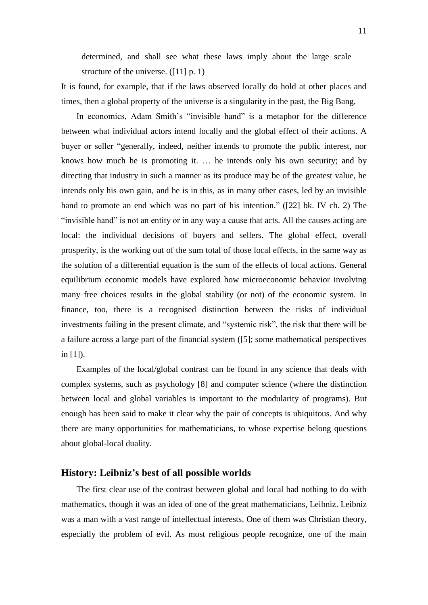determined, and shall see what these laws imply about the large scale structure of the universe. ([11] p. 1)

It is found, for example, that if the laws observed locally do hold at other places and times, then a global property of the universe is a singularity in the past, the Big Bang.

In economics, Adam Smith's "invisible hand" is a metaphor for the difference between what individual actors intend locally and the global effect of their actions. A buyer or seller "generally, indeed, neither intends to promote the public interest, nor knows how much he is promoting it. … he intends only his own security; and by directing that industry in such a manner as its produce may be of the greatest value, he intends only his own gain, and he is in this, as in many other cases, led by an invisible hand to promote an end which was no part of his intention." ([22] bk. IV ch. 2) The "invisible hand" is not an entity or in any way a cause that acts. All the causes acting are local: the individual decisions of buyers and sellers. The global effect, overall prosperity, is the working out of the sum total of those local effects, in the same way as the solution of a differential equation is the sum of the effects of local actions. General equilibrium economic models have explored how microeconomic behavior involving many free choices results in the global stability (or not) of the economic system. In finance, too, there is a recognised distinction between the risks of individual investments failing in the present climate, and "systemic risk", the risk that there will be a failure across a large part of the financial system ([5]; some mathematical perspectives in [1]).

Examples of the local/global contrast can be found in any science that deals with complex systems, such as psychology [8] and computer science (where the distinction between local and global variables is important to the modularity of programs). But enough has been said to make it clear why the pair of concepts is ubiquitous. And why there are many opportunities for mathematicians, to whose expertise belong questions about global-local duality.

## **History: Leibniz's best of all possible worlds**

The first clear use of the contrast between global and local had nothing to do with mathematics, though it was an idea of one of the great mathematicians, Leibniz. Leibniz was a man with a vast range of intellectual interests. One of them was Christian theory, especially the problem of evil. As most religious people recognize, one of the main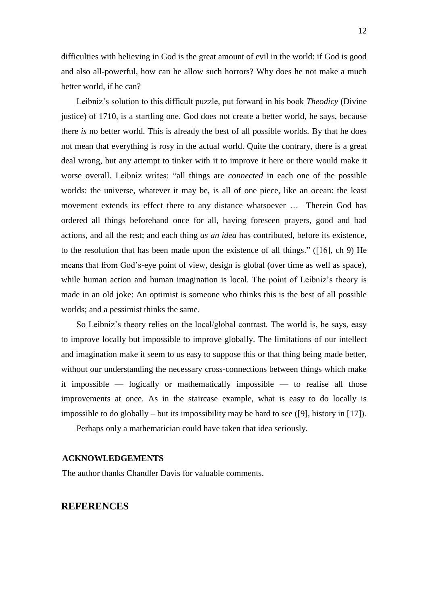difficulties with believing in God is the great amount of evil in the world: if God is good and also all-powerful, how can he allow such horrors? Why does he not make a much better world, if he can?

Leibniz's solution to this difficult puzzle, put forward in his book *Theodicy* (Divine justice) of 1710, is a startling one. God does not create a better world, he says, because there *is* no better world. This is already the best of all possible worlds. By that he does not mean that everything is rosy in the actual world. Quite the contrary, there is a great deal wrong, but any attempt to tinker with it to improve it here or there would make it worse overall. Leibniz writes: "all things are *connected* in each one of the possible worlds: the universe, whatever it may be, is all of one piece, like an ocean: the least movement extends its effect there to any distance whatsoever … Therein God has ordered all things beforehand once for all, having foreseen prayers, good and bad actions, and all the rest; and each thing *as an idea* has contributed, before its existence, to the resolution that has been made upon the existence of all things." ([16], ch 9) He means that from God's-eye point of view, design is global (over time as well as space), while human action and human imagination is local. The point of Leibniz's theory is made in an old joke: An optimist is someone who thinks this is the best of all possible worlds; and a pessimist thinks the same.

So Leibniz's theory relies on the local/global contrast. The world is, he says, easy to improve locally but impossible to improve globally. The limitations of our intellect and imagination make it seem to us easy to suppose this or that thing being made better, without our understanding the necessary cross-connections between things which make it impossible — logically or mathematically impossible — to realise all those improvements at once. As in the staircase example, what is easy to do locally is impossible to do globally – but its impossibility may be hard to see ([9], history in [17]).

Perhaps only a mathematician could have taken that idea seriously.

#### **ACKNOWLEDGEMENTS**

The author thanks Chandler Davis for valuable comments.

#### **REFERENCES**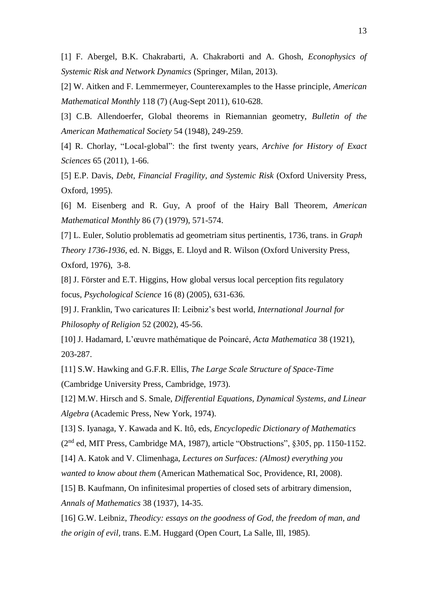[1] F. Abergel, B.K. Chakrabarti, A. Chakraborti and A. Ghosh, *Econophysics of Systemic Risk and Network Dynamics* (Springer, Milan, 2013).

[2] W. Aitken and F. Lemmermeyer, Counterexamples to the Hasse principle, *American Mathematical Monthly* 118 (7) (Aug-Sept 2011), 610-628.

[3] C.B. Allendoerfer, Global theorems in Riemannian geometry, *Bulletin of the American Mathematical Society* 54 (1948), 249-259.

[4] R. Chorlay, "Local-global": the first twenty years, *Archive for History of Exact Sciences* 65 (2011), 1-66.

[5] E.P. Davis, *Debt, Financial Fragility, and Systemic Risk* (Oxford University Press, Oxford, 1995).

[6] M. Eisenberg and R. Guy, A proof of the Hairy Ball Theorem, *American Mathematical Monthly* 86 (7) (1979), 571-574.

[7] L. Euler, Solutio problematis ad geometriam situs pertinentis, 1736, trans. in *Graph Theory 1736-1936*, ed. N. Biggs, E. Lloyd and R. Wilson (Oxford University Press, Oxford, 1976), 3-8.

[8] J. Förster and E.T. Higgins, How global versus local perception fits regulatory focus, *Psychological Science* 16 (8) (2005), 631-636.

[9] J. Franklin, Two caricatures II: Leibniz's best world, *International Journal for Philosophy of Religion* 52 (2002), 45-56.

[10] J. Hadamard, L'œuvre mathématique de Poincaré, *Acta Mathematica* 38 (1921), 203-287.

[11] S.W. Hawking and G.F.R. Ellis, *The Large Scale Structure of Space-Time* (Cambridge University Press, Cambridge, 1973).

[12] M.W. Hirsch and S. Smale, *Differential Equations, Dynamical Systems, and Linear Algebra* (Academic Press, New York, 1974).

[13] S. Iyanaga, Y. Kawada and K. Itô, eds, *Encyclopedic Dictionary of Mathematics*

(2 nd ed, MIT Press, Cambridge MA, 1987), article "Obstructions", §305, pp. 1150-1152.

[14] A. Katok and V. Climenhaga, *Lectures on Surfaces: (Almost) everything you wanted to know about them* (American Mathematical Soc, Providence, RI, 2008).

[15] B. Kaufmann, On infinitesimal properties of closed sets of arbitrary dimension, *Annals of Mathematics* 38 (1937), 14-35.

[16] G.W. Leibniz, *Theodicy: essays on the goodness of God, the freedom of man, and the origin of evil,* trans. E.M. Huggard (Open Court, La Salle, Ill, 1985).